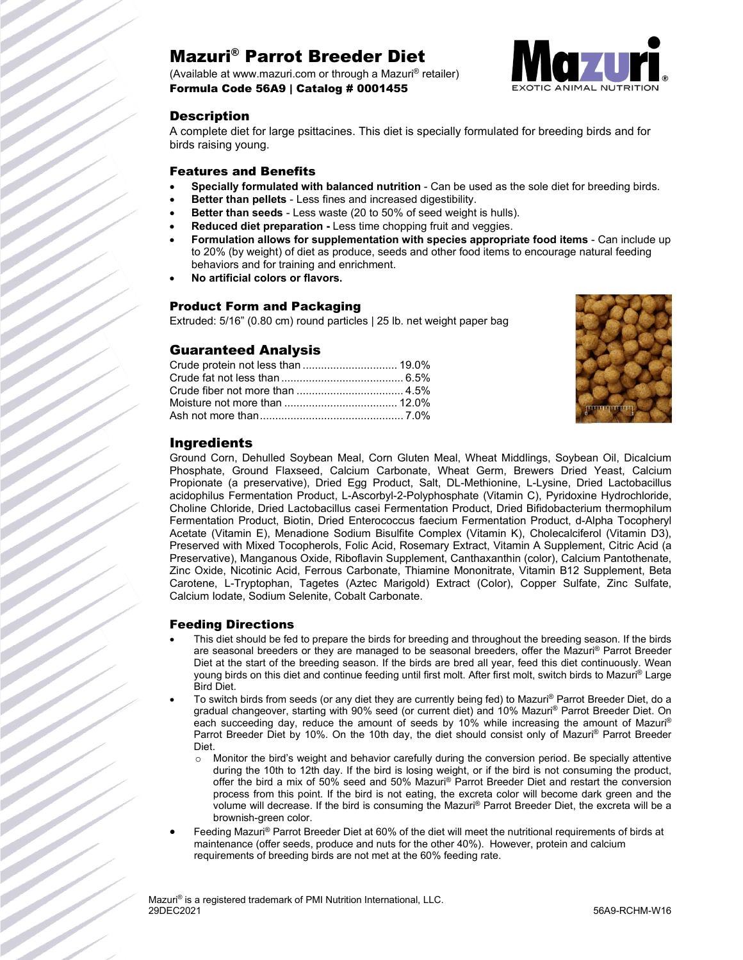# Mazuri® Parrot Breeder Diet

(Available at www.mazuri.com or through a Mazuri® retailer) Formula Code 56A9 | Catalog # 0001455



### **Description**

A complete diet for large psittacines. This diet is specially formulated for breeding birds and for birds raising young.

#### Features and Benefits

- **Specially formulated with balanced nutrition** Can be used as the sole diet for breeding birds.
- **Better than pellets** Less fines and increased digestibility.
- **Better than seeds** Less waste (20 to 50% of seed weight is hulls).
- **Reduced diet preparation -** Less time chopping fruit and veggies.
- **Formulation allows for supplementation with species appropriate food items** Can include up to 20% (by weight) of diet as produce, seeds and other food items to encourage natural feeding behaviors and for training and enrichment.
- **No artificial colors or flavors.**

#### Product Form and Packaging

Extruded: 5/16" (0.80 cm) round particles | 25 lb. net weight paper bag

## Guaranteed Analysis

| Crude protein not less than  19.0% |  |
|------------------------------------|--|
|                                    |  |
|                                    |  |
|                                    |  |
|                                    |  |



## Ingredients

Ground Corn, Dehulled Soybean Meal, Corn Gluten Meal, Wheat Middlings, Soybean Oil, Dicalcium Phosphate, Ground Flaxseed, Calcium Carbonate, Wheat Germ, Brewers Dried Yeast, Calcium Propionate (a preservative), Dried Egg Product, Salt, DL-Methionine, L-Lysine, Dried Lactobacillus acidophilus Fermentation Product, L-Ascorbyl-2-Polyphosphate (Vitamin C), Pyridoxine Hydrochloride, Choline Chloride, Dried Lactobacillus casei Fermentation Product, Dried Bifidobacterium thermophilum Fermentation Product, Biotin, Dried Enterococcus faecium Fermentation Product, d-Alpha Tocopheryl Acetate (Vitamin E), Menadione Sodium Bisulfite Complex (Vitamin K), Cholecalciferol (Vitamin D3), Preserved with Mixed Tocopherols, Folic Acid, Rosemary Extract, Vitamin A Supplement, Citric Acid (a Preservative), Manganous Oxide, Riboflavin Supplement, Canthaxanthin (color), Calcium Pantothenate, Zinc Oxide, Nicotinic Acid, Ferrous Carbonate, Thiamine Mononitrate, Vitamin B12 Supplement, Beta Carotene, L-Tryptophan, Tagetes (Aztec Marigold) Extract (Color), Copper Sulfate, Zinc Sulfate, Calcium Iodate, Sodium Selenite, Cobalt Carbonate.

#### Feeding Directions

- This diet should be fed to prepare the birds for breeding and throughout the breeding season. If the birds are seasonal breeders or they are managed to be seasonal breeders, offer the Mazuri® Parrot Breeder Diet at the start of the breeding season. If the birds are bred all year, feed this diet continuously. Wean young birds on this diet and continue feeding until first molt. After first molt, switch birds to Mazuri® Large Bird Diet.
- To switch birds from seeds (or any diet they are currently being fed) to Mazuri® Parrot Breeder Diet, do a gradual changeover, starting with 90% seed (or current diet) and 10% Mazuri® Parrot Breeder Diet. On each succeeding day, reduce the amount of seeds by 10% while increasing the amount of Mazuri® Parrot Breeder Diet by 10%. On the 10th day, the diet should consist only of Mazuri® Parrot Breeder Diet.
	- o Monitor the bird's weight and behavior carefully during the conversion period. Be specially attentive during the 10th to 12th day. If the bird is losing weight, or if the bird is not consuming the product, offer the bird a mix of 50% seed and 50% Mazuri® Parrot Breeder Diet and restart the conversion process from this point. If the bird is not eating, the excreta color will become dark green and the volume will decrease. If the bird is consuming the Mazuri® Parrot Breeder Diet, the excreta will be a brownish-green color.
- Feeding Mazuri® Parrot Breeder Diet at 60% of the diet will meet the nutritional requirements of birds at maintenance (offer seeds, produce and nuts for the other 40%). However, protein and calcium requirements of breeding birds are not met at the 60% feeding rate.